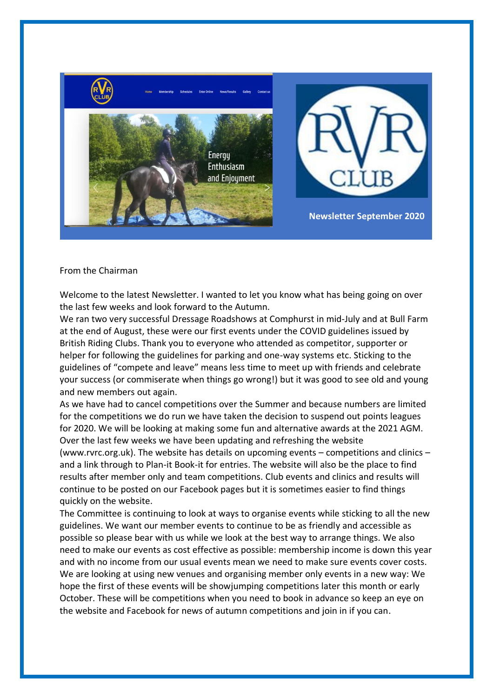

## From the Chairman

Welcome to the latest Newsletter. I wanted to let you know what has being going on over the last few weeks and look forward to the Autumn.

We ran two very successful Dressage Roadshows at Comphurst in mid-July and at Bull Farm at the end of August, these were our first events under the COVID guidelines issued by British Riding Clubs. Thank you to everyone who attended as competitor, supporter or helper for following the guidelines for parking and one-way systems etc. Sticking to the guidelines of "compete and leave" means less time to meet up with friends and celebrate your success (or commiserate when things go wrong!) but it was good to see old and young and new members out again.

As we have had to cancel competitions over the Summer and because numbers are limited for the competitions we do run we have taken the decision to suspend out points leagues for 2020. We will be looking at making some fun and alternative awards at the 2021 AGM. Over the last few weeks we have been updating and refreshing the website

(www.rvrc.org.uk). The website has details on upcoming events – competitions and clinics – and a link through to Plan-it Book-it for entries. The website will also be the place to find results after member only and team competitions. Club events and clinics and results will continue to be posted on our Facebook pages but it is sometimes easier to find things quickly on the website.

The Committee is continuing to look at ways to organise events while sticking to all the new guidelines. We want our member events to continue to be as friendly and accessible as possible so please bear with us while we look at the best way to arrange things. We also need to make our events as cost effective as possible: membership income is down this year and with no income from our usual events mean we need to make sure events cover costs. We are looking at using new venues and organising member only events in a new way: We hope the first of these events will be showjumping competitions later this month or early October. These will be competitions when you need to book in advance so keep an eye on the website and Facebook for news of autumn competitions and join in if you can.